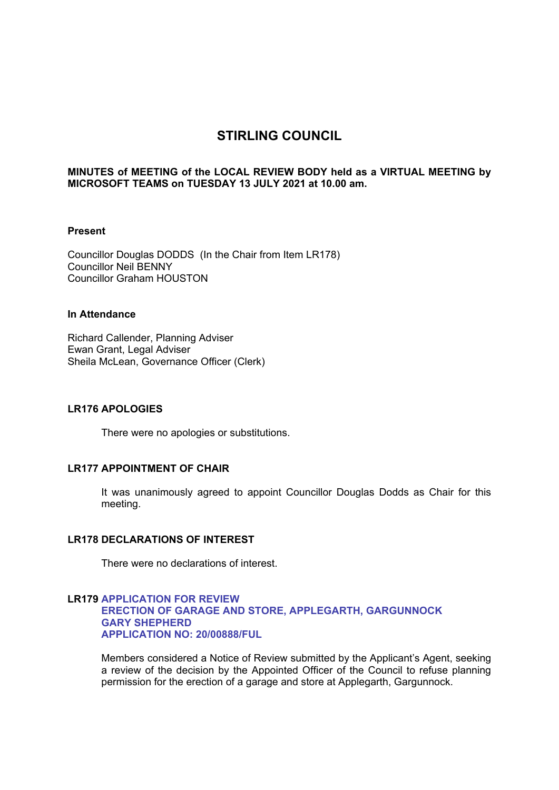# **STIRLING COUNCIL**

#### **MINUTES of MEETING of the LOCAL REVIEW BODY held as a VIRTUAL MEETING by MICROSOFT TEAMS on TUESDAY 13 JULY 2021 at 10.00 am.**

#### **Present**

Councillor Douglas DODDS (In the Chair from Item LR178) Councillor Neil BENNY Councillor Graham HOUSTON

#### **In Attendance**

Richard Callender, Planning Adviser Ewan Grant, Legal Adviser Sheila McLean, Governance Officer (Clerk)

#### **LR176 APOLOGIES**

There were no apologies or substitutions.

# **LR177 APPOINTMENT OF CHAIR**

It was unanimously agreed to appoint Councillor Douglas Dodds as Chair for this meeting.

# **LR178 DECLARATIONS OF INTEREST**

There were no declarations of interest.

#### **LR179 APPLICATION FOR REVIEW ERECTION OF GARAGE AND STORE, APPLEGARTH, GARGUNNOCK GARY SHEPHERD APPLICATION NO: 20/00888/FUL**

Members considered a Notice of Review submitted by the Applicant's Agent, seeking a review of the decision by the Appointed Officer of the Council to refuse planning permission for the erection of a garage and store at Applegarth, Gargunnock.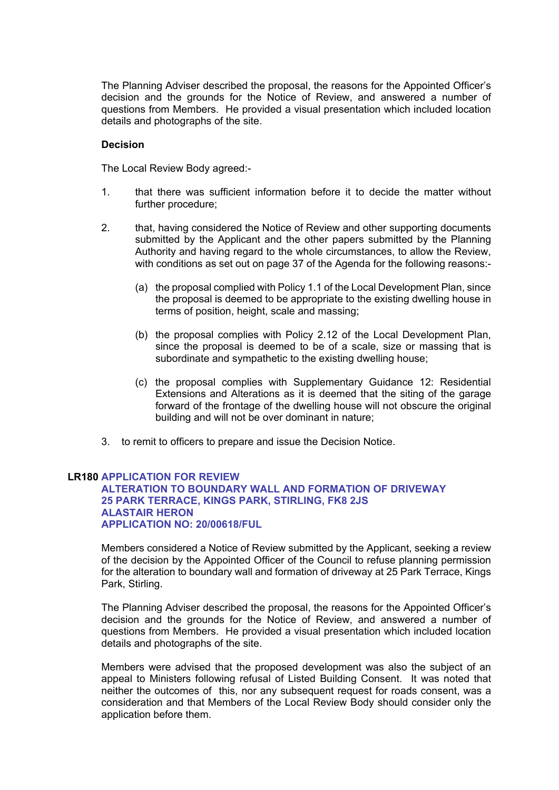The Planning Adviser described the proposal, the reasons for the Appointed Officer's decision and the grounds for the Notice of Review, and answered a number of questions from Members. He provided a visual presentation which included location details and photographs of the site.

#### **Decision**

The Local Review Body agreed:-

- 1. that there was sufficient information before it to decide the matter without further procedure;
- 2. that, having considered the Notice of Review and other supporting documents submitted by the Applicant and the other papers submitted by the Planning Authority and having regard to the whole circumstances, to allow the Review, with conditions as set out on page 37 of the Agenda for the following reasons:-
	- (a) the proposal complied with Policy 1.1 of the Local Development Plan, since the proposal is deemed to be appropriate to the existing dwelling house in terms of position, height, scale and massing;
	- (b) the proposal complies with Policy 2.12 of the Local Development Plan, since the proposal is deemed to be of a scale, size or massing that is subordinate and sympathetic to the existing dwelling house;
	- (c) the proposal complies with Supplementary Guidance 12: Residential Extensions and Alterations as it is deemed that the siting of the garage forward of the frontage of the dwelling house will not obscure the original building and will not be over dominant in nature;
- 3. to remit to officers to prepare and issue the Decision Notice.

#### **LR180 APPLICATION FOR REVIEW ALTERATION TO BOUNDARY WALL AND FORMATION OF DRIVEWAY 25 PARK TERRACE, KINGS PARK, STIRLING, FK8 2JS ALASTAIR HERON APPLICATION NO: 20/00618/FUL**

Members considered a Notice of Review submitted by the Applicant, seeking a review of the decision by the Appointed Officer of the Council to refuse planning permission for the alteration to boundary wall and formation of driveway at 25 Park Terrace, Kings Park, Stirling.

The Planning Adviser described the proposal, the reasons for the Appointed Officer's decision and the grounds for the Notice of Review, and answered a number of questions from Members. He provided a visual presentation which included location details and photographs of the site.

Members were advised that the proposed development was also the subject of an appeal to Ministers following refusal of Listed Building Consent. It was noted that neither the outcomes of this, nor any subsequent request for roads consent, was a consideration and that Members of the Local Review Body should consider only the application before them.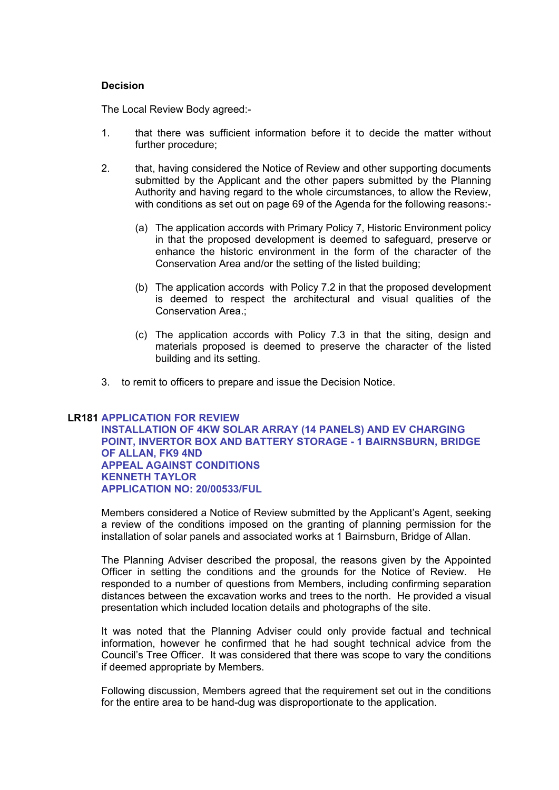#### **Decision**

The Local Review Body agreed:-

- 1. that there was sufficient information before it to decide the matter without further procedure;
- 2. that, having considered the Notice of Review and other supporting documents submitted by the Applicant and the other papers submitted by the Planning Authority and having regard to the whole circumstances, to allow the Review, with conditions as set out on page 69 of the Agenda for the following reasons:-
	- (a) The application accords with Primary Policy 7, Historic Environment policy in that the proposed development is deemed to safeguard, preserve or enhance the historic environment in the form of the character of the Conservation Area and/or the setting of the listed building;
	- (b) The application accords with Policy 7.2 in that the proposed development is deemed to respect the architectural and visual qualities of the Conservation Area.;
	- (c) The application accords with Policy 7.3 in that the siting, design and materials proposed is deemed to preserve the character of the listed building and its setting.
- 3. to remit to officers to prepare and issue the Decision Notice.

### **LR181 APPLICATION FOR REVIEW**

**INSTALLATION OF 4KW SOLAR ARRAY (14 PANELS) AND EV CHARGING POINT, INVERTOR BOX AND BATTERY STORAGE - 1 BAIRNSBURN, BRIDGE OF ALLAN, FK9 4ND APPEAL AGAINST CONDITIONS KENNETH TAYLOR APPLICATION NO: 20/00533/FUL**

Members considered a Notice of Review submitted by the Applicant's Agent, seeking a review of the conditions imposed on the granting of planning permission for the installation of solar panels and associated works at 1 Bairnsburn, Bridge of Allan.

The Planning Adviser described the proposal, the reasons given by the Appointed Officer in setting the conditions and the grounds for the Notice of Review. He responded to a number of questions from Members, including confirming separation distances between the excavation works and trees to the north. He provided a visual presentation which included location details and photographs of the site.

It was noted that the Planning Adviser could only provide factual and technical information, however he confirmed that he had sought technical advice from the Council's Tree Officer. It was considered that there was scope to vary the conditions if deemed appropriate by Members.

Following discussion, Members agreed that the requirement set out in the conditions for the entire area to be hand-dug was disproportionate to the application.